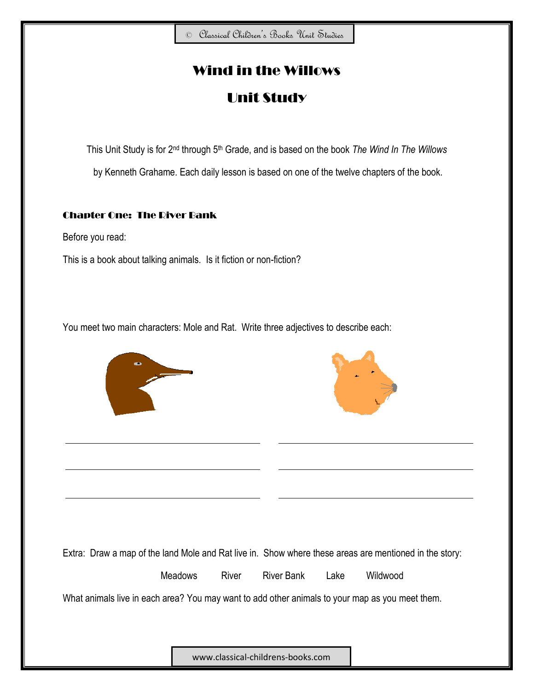# Wind in the Willows

# Unit Study

This Unit Study is for 2nd through 5th Grade, and is based on the book *The Wind In The Willows* by Kenneth Grahame. Each daily lesson is based on one of the twelve chapters of the book.

# Chapter One: The River Bank

Before you read:

This is a book about talking animals. Is it fiction or non-fiction?

You meet two main characters: Mole and Rat. Write three adjectives to describe each:





Extra: Draw a map of the land Mole and Rat live in. Show where these areas are mentioned in the story:

Meadows River River Bank Lake Wildwood

What animals live in each area? You may want to add other animals to your map as you meet them.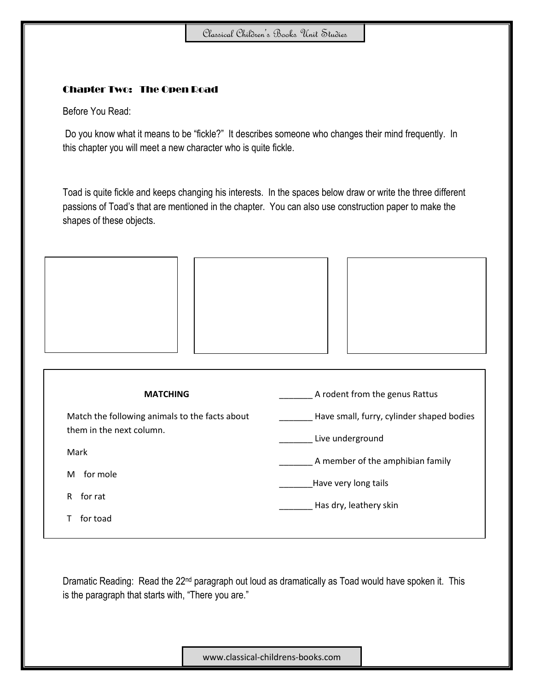## Chapter Two: The Open Road

Before You Read:

Do you know what it means to be "fickle?" It describes someone who changes their mind frequently. In this chapter you will meet a new character who is quite fickle.

Toad is quite fickle and keeps changing his interests. In the spaces below draw or write the three different passions of Toad's that are mentioned in the chapter. You can also use construction paper to make the shapes of these objects.





| <b>MATCHING</b>                                                            | A rodent from the genus Rattus            |
|----------------------------------------------------------------------------|-------------------------------------------|
| Match the following animals to the facts about<br>them in the next column. | Have small, furry, cylinder shaped bodies |
|                                                                            | Live underground                          |
| Mark                                                                       | A member of the amphibian family          |
| for mole<br>М                                                              | Have very long tails                      |
| for rat<br>R.                                                              | Has dry, leathery skin                    |
| for toad                                                                   |                                           |
|                                                                            |                                           |

Dramatic Reading: Read the 22<sup>nd</sup> paragraph out loud as dramatically as Toad would have spoken it. This is the paragraph that starts with, "There you are."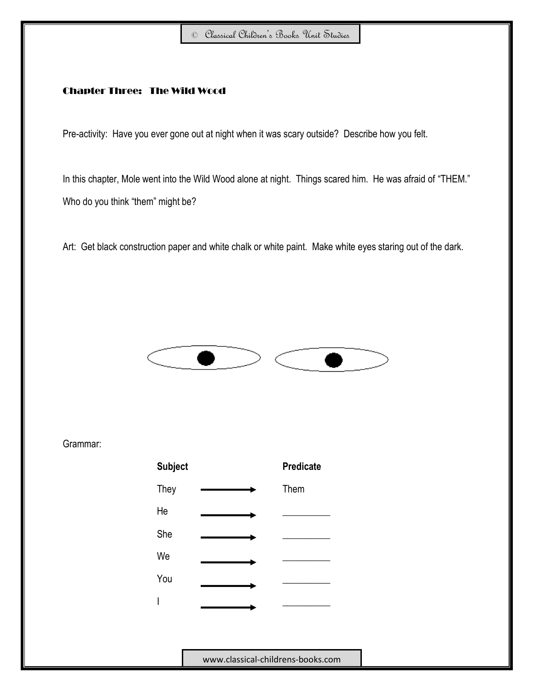#### Chapter Three: The Wild Wood

Pre-activity: Have you ever gone out at night when it was scary outside? Describe how you felt.

In this chapter, Mole went into the Wild Wood alone at night. Things scared him. He was afraid of "THEM." Who do you think "them" might be?

Art: Get black construction paper and white chalk or white paint. Make white eyes staring out of the dark.



Grammar:

| <b>Subject</b> | <b>Predicate</b> |
|----------------|------------------|
| They           | Them             |
| He             |                  |
| She            |                  |
| We             |                  |
| You            |                  |
| I              |                  |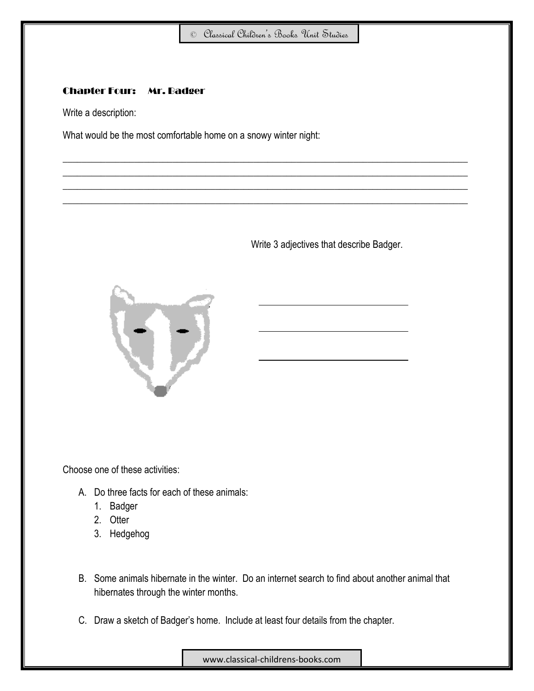$\_$  , and the set of the set of the set of the set of the set of the set of the set of the set of the set of the set of the set of the set of the set of the set of the set of the set of the set of the set of the set of th  $\_$  , and the set of the set of the set of the set of the set of the set of the set of the set of the set of the set of the set of the set of the set of the set of the set of the set of the set of the set of the set of th  $\_$  , and the set of the set of the set of the set of the set of the set of the set of the set of the set of the set of the set of the set of the set of the set of the set of the set of the set of the set of the set of th  $\_$  , and the set of the set of the set of the set of the set of the set of the set of the set of the set of the set of the set of the set of the set of the set of the set of the set of the set of the set of the set of th

# Chapter Four: Mr. Badger

Write a description:

What would be the most comfortable home on a snowy winter night:

Write 3 adjectives that describe Badger.



Choose one of these activities:

- A. Do three facts for each of these animals:
	- 1. Badger
	- 2. Otter
	- 3. Hedgehog
- B. Some animals hibernate in the winter. Do an internet search to find about another animal that hibernates through the winter months.
- C. Draw a sketch of Badger's home. Include at least four details from the chapter.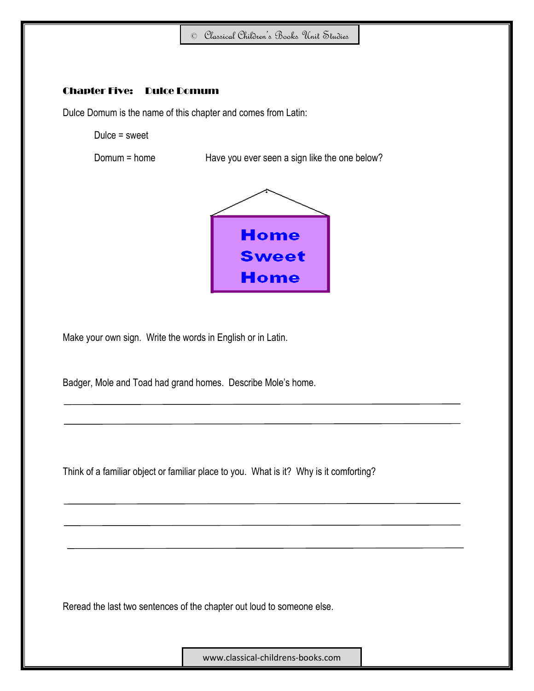#### Chapter Five: Dulce Domum

Dulce Domum is the name of this chapter and comes from Latin:

Dulce = sweet

Domum = home Have you ever seen a sign like the one below?



Make your own sign. Write the words in English or in Latin.

Badger, Mole and Toad had grand homes. Describe Mole's home.

Think of a familiar object or familiar place to you. What is it? Why is it comforting?

Reread the last two sentences of the chapter out loud to someone else.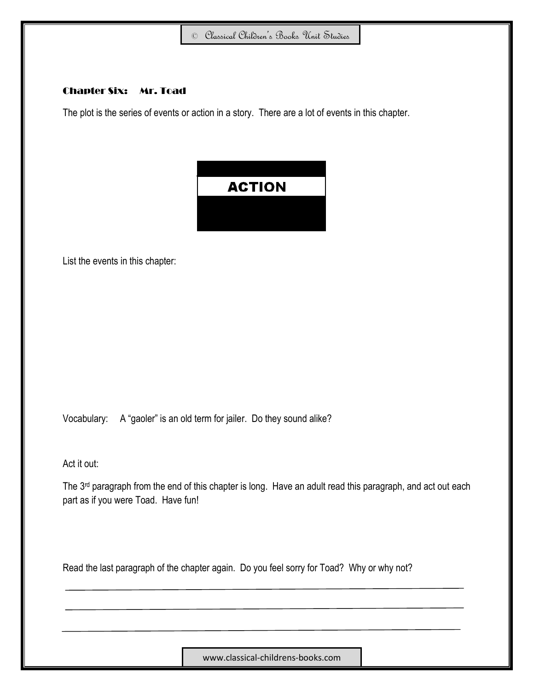#### Chapter Six: Mr. Toad

The plot is the series of events or action in a story. There are a lot of events in this chapter.



List the events in this chapter:

Vocabulary: A "gaoler" is an old term for jailer. Do they sound alike?

Act it out:

The 3<sup>rd</sup> paragraph from the end of this chapter is long. Have an adult read this paragraph, and act out each part as if you were Toad. Have fun!

Read the last paragraph of the chapter again. Do you feel sorry for Toad? Why or why not?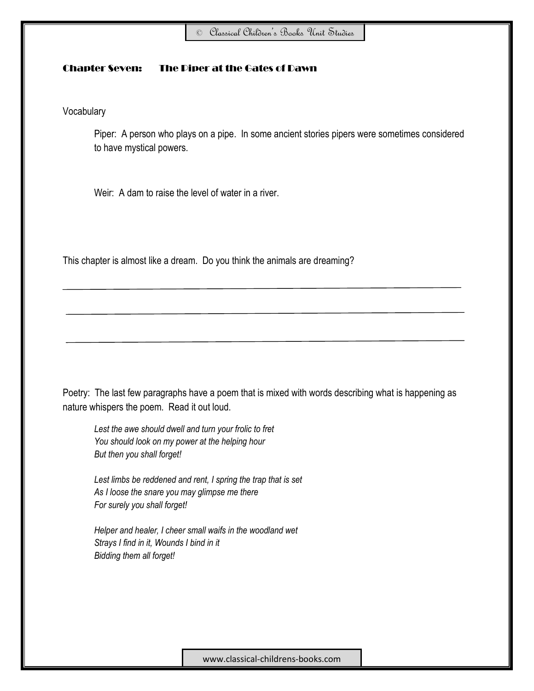#### Chapter Seven: The Piper at the Gates of Dawn

Vocabulary

Piper: A person who plays on a pipe. In some ancient stories pipers were sometimes considered to have mystical powers.

Weir: A dam to raise the level of water in a river.

This chapter is almost like a dream. Do you think the animals are dreaming?

Poetry: The last few paragraphs have a poem that is mixed with words describing what is happening as nature whispers the poem. Read it out loud.

*Lest the awe should dwell and turn your frolic to fret You should look on my power at the helping hour But then you shall forget!*

*Lest limbs be reddened and rent, I spring the trap that is set As I loose the snare you may glimpse me there For surely you shall forget!*

*Helper and healer, I cheer small waifs in the woodland wet Strays I find in it, Wounds I bind in it Bidding them all forget!*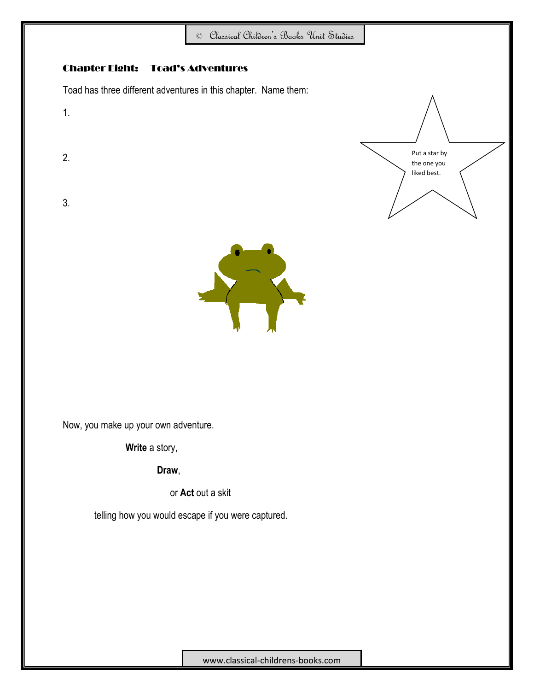



Now, you make up your own adventure.

1.

2.

3.

**Write** a story,

**Draw**,

or **Act** out a skit

telling how you would escape if you were captured.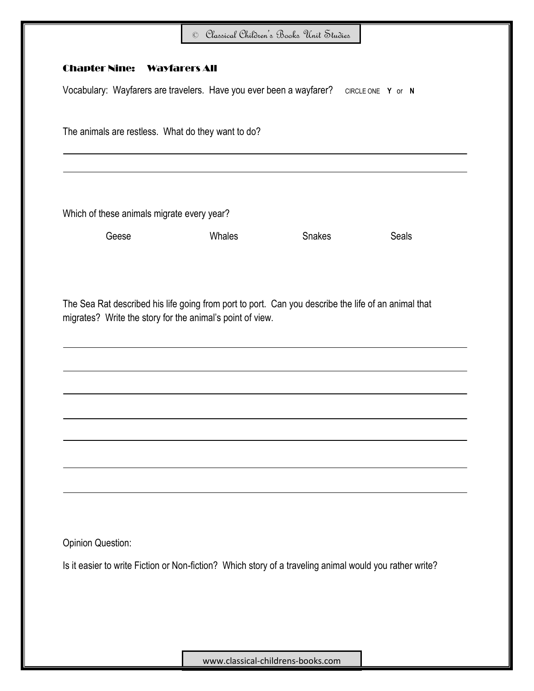| The animals are restless. What do they want to do? |                                            |                                                                                                                                                                  |
|----------------------------------------------------|--------------------------------------------|------------------------------------------------------------------------------------------------------------------------------------------------------------------|
|                                                    |                                            |                                                                                                                                                                  |
|                                                    |                                            |                                                                                                                                                                  |
| Whales                                             | <b>Snakes</b>                              | <b>Seals</b>                                                                                                                                                     |
|                                                    |                                            |                                                                                                                                                                  |
|                                                    |                                            |                                                                                                                                                                  |
|                                                    |                                            |                                                                                                                                                                  |
|                                                    |                                            |                                                                                                                                                                  |
|                                                    |                                            |                                                                                                                                                                  |
|                                                    |                                            |                                                                                                                                                                  |
|                                                    |                                            |                                                                                                                                                                  |
|                                                    |                                            |                                                                                                                                                                  |
|                                                    |                                            |                                                                                                                                                                  |
|                                                    | Which of these animals migrate every year? | The Sea Rat described his life going from port to port. Can you describe the life of an animal that<br>migrates? Write the story for the animal's point of view. |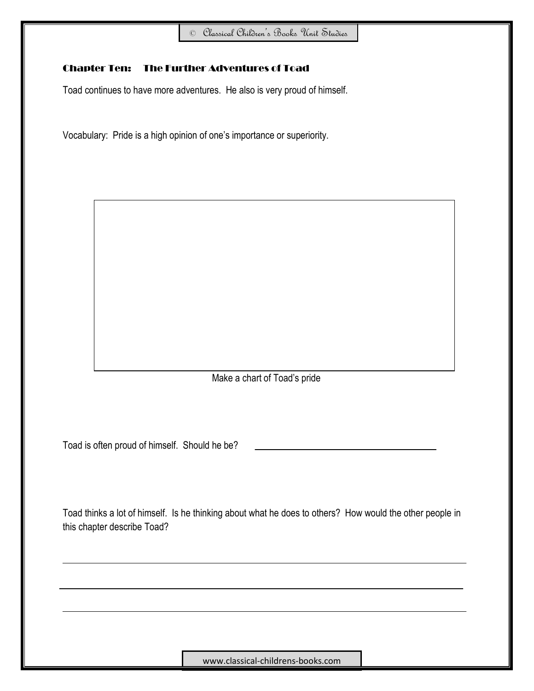# Chapter Ten: The Further Adventures of Toad

Toad continues to have more adventures. He also is very proud of himself.

Vocabulary: Pride is a high opinion of one's importance or superiority.

Make a chart of Toad's pride

Toad is often proud of himself. Should he be?

Toad thinks a lot of himself. Is he thinking about what he does to others? How would the other people in this chapter describe Toad?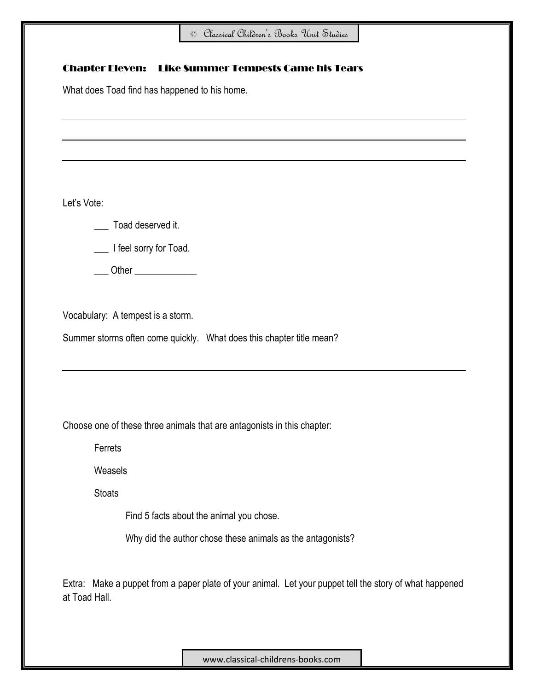|               | What does Toad find has happened to his home.                           |  |  |  |  |  |
|---------------|-------------------------------------------------------------------------|--|--|--|--|--|
|               |                                                                         |  |  |  |  |  |
|               |                                                                         |  |  |  |  |  |
|               |                                                                         |  |  |  |  |  |
|               |                                                                         |  |  |  |  |  |
| Let's Vote:   |                                                                         |  |  |  |  |  |
|               | Toad deserved it.                                                       |  |  |  |  |  |
|               | __ I feel sorry for Toad.                                               |  |  |  |  |  |
|               | Other $\_$                                                              |  |  |  |  |  |
|               |                                                                         |  |  |  |  |  |
|               |                                                                         |  |  |  |  |  |
|               | Vocabulary: A tempest is a storm.                                       |  |  |  |  |  |
|               | Summer storms often come quickly. What does this chapter title mean?    |  |  |  |  |  |
|               |                                                                         |  |  |  |  |  |
|               |                                                                         |  |  |  |  |  |
|               |                                                                         |  |  |  |  |  |
|               | Choose one of these three animals that are antagonists in this chapter: |  |  |  |  |  |
| Ferrets       |                                                                         |  |  |  |  |  |
| Weasels       |                                                                         |  |  |  |  |  |
| <b>Stoats</b> |                                                                         |  |  |  |  |  |
|               | Find 5 facts about the animal you chose.                                |  |  |  |  |  |
|               | Why did the author chose these animals as the antagonists?              |  |  |  |  |  |